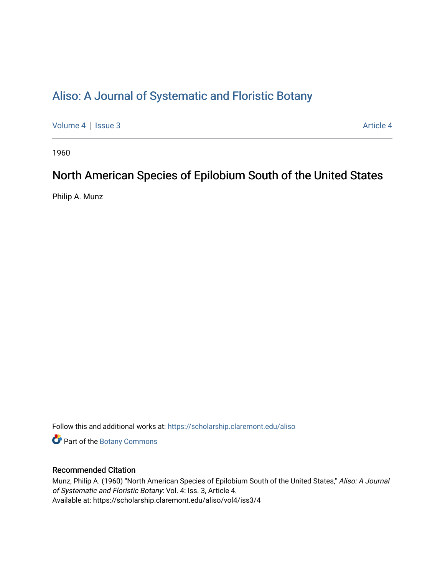# [Aliso: A Journal of Systematic and Floristic Botany](https://scholarship.claremont.edu/aliso)

[Volume 4](https://scholarship.claremont.edu/aliso/vol4) | [Issue 3](https://scholarship.claremont.edu/aliso/vol4/iss3) Article 4

1960

# North American Species of Epilobium South of the United States

Philip A. Munz

Follow this and additional works at: [https://scholarship.claremont.edu/aliso](https://scholarship.claremont.edu/aliso?utm_source=scholarship.claremont.edu%2Faliso%2Fvol4%2Fiss3%2F4&utm_medium=PDF&utm_campaign=PDFCoverPages) 

Part of the [Botany Commons](https://network.bepress.com/hgg/discipline/104?utm_source=scholarship.claremont.edu%2Faliso%2Fvol4%2Fiss3%2F4&utm_medium=PDF&utm_campaign=PDFCoverPages) 

## Recommended Citation

Munz, Philip A. (1960) "North American Species of Epilobium South of the United States," Aliso: A Journal of Systematic and Floristic Botany: Vol. 4: Iss. 3, Article 4. Available at: https://scholarship.claremont.edu/aliso/vol4/iss3/4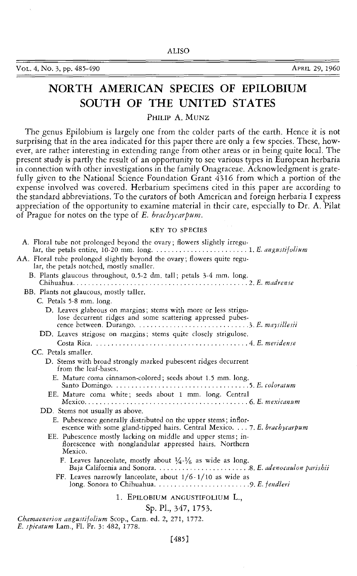Vol. 4, No. 3, pp. 485-490 APRIL 29, 1960

# **NORTH AMERICAN SPECIES OF EPILOBIUM SOUTH OF THE UNITED STATES**

PHILIP A. MUNZ

The genus Epilobium is largely one from the colder parts of the earth. Hence it is not surprising that in the area indicated for this paper there are only a few species. These, however, are rather interesting in extending range from other areas or in being quite local. The present study is partly the result of an opportunity to see various types in European herbaria in connection with other investigations in the family Onagraceae. Acknowledgment is gratefully given to the National Science Foundation Grant 4316 from which a portion of the expense involved was covered. Herbarium specimens cited in this paper are according to the standard abbreviations. To the curators of both American and foreign herbaria I express appreciation of the opportunity to examine material in their care, especially to Dr. A. Pilat of Prague for notes on the type of *E. brachycarpum.* 

#### KEY TO SPECIES

| A. Floral tube not prolonged beyond the ovary; flowers slightly irregu-                                                                      |
|----------------------------------------------------------------------------------------------------------------------------------------------|
| AA. Floral tube prolonged slightly beyond the ovary; flowers quite regu-<br>lar, the petals notched, mostly smaller.                         |
| B. Plants glaucous throughout, 0.5-2 dm, tall; petals 3-4 mm. long.                                                                          |
| BB. Plants not glaucous, mostly taller,                                                                                                      |
| C. Petals 5-8 mm. long.                                                                                                                      |
| D. Leaves glabrous on margins; stems with more or less strigu-<br>lose decurrent ridges and some scattering appressed pubes-                 |
| DD. Leaves strigose on margins; stems quite closely strigulose.                                                                              |
|                                                                                                                                              |
| CC. Petals smaller.                                                                                                                          |
| D. Stems with broad strongly marked pubescent ridges decurrent<br>from the leaf-bases.                                                       |
| E. Mature coma cinnamon-colored; seeds about 1.5 mm. long.                                                                                   |
| EE. Mature coma white; seeds about 1 mm. long. Central                                                                                       |
| DD. Stems not usually as above,                                                                                                              |
| E. Pubescence generally distributed on the upper stems; inflor-<br>escence with some gland-tipped hairs. Central Mexico.  7. E. brachycarpum |
| EE. Pubescence mostly lacking on middle and upper stems; in-<br>florescence with nonglandular appressed hairs. Northern<br>Mexico.           |
| F. Leaves lanceolate, mostly about $\frac{1}{4} \cdot \frac{1}{6}$ as wide as long.                                                          |
| FF. Leaves narrowly lanceolate, about $1/6 - 1/10$ as wide as                                                                                |
| 1. EPILOBIUM ANGUSTIFOLIUM L.,                                                                                                               |
| Sp. Pl., 347, 1753.                                                                                                                          |

*Chamaenerion angustifolium* Scop., Carn. ed. 2, 271, 1772. *E. spicatum* Lam., Fl. Fr. 3: 482, 1778.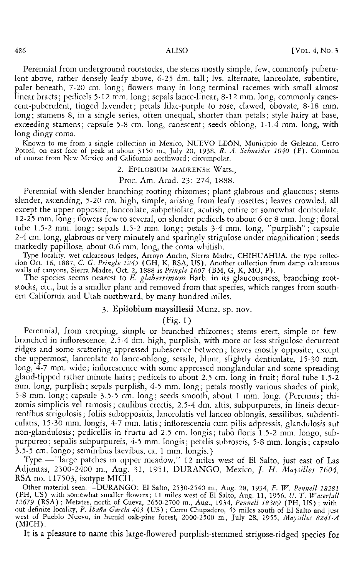Perennial from underground rootstocks, the stems mostly simple, few, commonly puberulent above, rather densely leafy above, 6-25 dm. tall; lvs. alternate, lanceolate, subentire, paler beneath, 7-20 em. long; flowers many in long terminal racemes with small almost linear bracts; pedicels 5-12 mm. long; sepals lance-linear, 8-12 mm. long, commonly canescent-puberulent, tinged lavender; petals lilac-purple to rose, clawed, obovate, 8-18 mm. long; stamens 8, in a single series, often unequal, shorter than petals; style hairy at base, exceeding stamens; capsule 5-8 em. long, canescent; seeds oblong, 1-1.4 mm. long, with long dingy coma.

Known to me from a single collection in Mexico, NUEVO LE6N, Municipio de Galeana, Cerro Potosi, on east face of peak at about 3150 m., July 20, 1938, *R. A. Schneider 1040* (F). Common of course from New Mexico and California northward; circumpolar.

#### 2. EPILOBIUM MADRENSE Wats.,

#### Proc. Am. Acad. 23: 274, 1888.

Perennial with slender branching rooting rhizomes; plant glabrous and glaucous; stems slender, ascending, 5-20 em. high, simple, arising from leafy rosettes; leaves crowded, all except the upper opposite, lanceolate, subpetiolate, acutish, entire or somewhat denticulate, 12-25 mm. long; flowers few to several, on slender pedicels to about 6 or 8 mm. long; floral tube 1.5-2 mm. long; sepals 1.5-2 mm. long; petals 3-4 mm. long, "purplish"; capsule 2-4 em. long, glabrous or very minutely and sparingly strigulose under magnification; seeds markedly papillose, about 0.6 mm. long, the coma whitish.

Type locality, wet calcareous ledges, Arroyo Ancho, Sierra Madre, CHIHUAHUA, the type collection Oct. 16, 1887, C. *G. Pringle 1245* ( GH, K, RSA, US). Another collection from damp calcareous walls of canyons, Sierra Madre, Oct. 2, 1888 is *Pringle 1607* (BM, G, K, MO, P).

The species seems nearest to *E. glaberrimum* Barb. in its glaucousness, branching rootstocks, etc., but is a smaller plant and removed from that species, which ranges from southern California and Utah northward, by many hundred miles.

### 3. **Epilobium** maysillesii Munz, sp. nov.

#### (Fig. 1)

Perennial, from creeping, simple or branched rhizomes; stems erect, simple or fewbranched in inflorescence, 2.5-4 dm. high, purplish, with more or less strigulose decurrent ridges and some scattering appressed pubescence between; leaves mostly opposite, except the uppermost, lanceolate to lance-oblong, sessile, blunt, slightly denticulate, 15-30 mm. long, 4-7 mm. wide; inflorescence with some appressed nonglandular and some spreading gland-tipped rather minute hairs; pedicels to about 2.5 em. long in fruit; floral tube 1.5-2 mm. long, purplish; sepals purplish, 4-5 mm. long; petals mostly various shades of pink, 5-8 mm.long; capsule 3.5-5 em. long; seeds smooth, about 1 mm. long. (Perennis; rhizomis simplicis vel ramosis; caulibus erectis, 2.5-4 dm. altis, subpurpureis, in lineis decurrentibus strigulosis; foliis suboppositis, lanceolatis vel lanceo-oblongis, sessilibus, subdenticulatis, 15-30 mm. longis, 4-7 mm. latis; inflorescentia cum pilis adpressis, glandulosis aut non-glandulosis; pedicellis in fructu ad 2.5 em. longis; tubo floris 1.5-2 mm. Iongo, subpurpureo; sepalis subpurpureis, 4-5 mm. longis; petalis subroseis, 5-8 mm. longis; capsulo 3.5-5 em. Iongo; seminibus laevibus, ca. 1 mm. longis.)

Type.— "large patches in upper meadow," 12 miles west of El Salto, just east of Las Adjuntas, 2300-2400 m., Aug. 31, 1951, DURANGO, Mexico, f. *H. Maysilles 7604,*  RSA no. 117503, isotype MICH.

Other material seen.-DURANGO: El Saito, 2530-2540 m., Aug. 28, 1934, *F. W. Pennell 18281*  (PH, US) with somewhat smaller flowers; 11 miles west of El Saito, Aug. 11, 1956, *U. T. Waterfall 12679* (RSA); Metates, north of Cueva, 2650-2700 m., Aug., 1934, *Pennell 18389* (PH, US); without definite locality, *P. Ibaña García 4*03 (US); Cerro Chupadero, 45 miles south of El Salto and just west of Pueblo Nuevo, in humid oak-pine forest, 2000-2500 m., July 28, 1955, *Maysilles 8241-A*  (MICH).

It is a pleasure to name this large-flowered purplish-stemmed strigose-ridged species for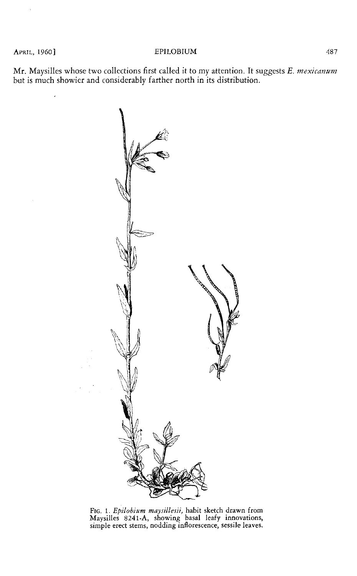APRIL, 1960] **EPILOBIUM** 487

Mr. Maysilles whose two collections first called it to my attention. It suggests *E. mexicanum*  but is much showier and considerably farther north in its distribution.



FIG. 1. *Epilobium maysillesii,* habit sketch drawn from Maysilles 8241-A, showing basal leafy innovations, simple erect stems, nodding inflorescence, sessile leaves.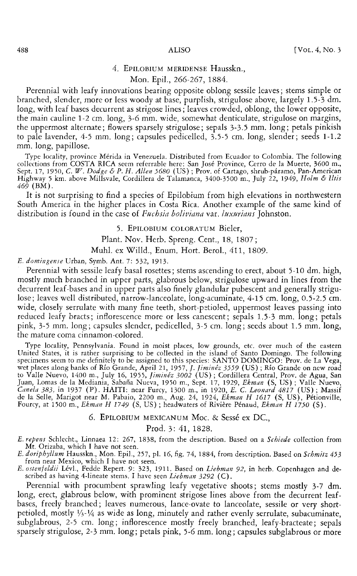### 4. EPILOBIUM MERIDENSE Hausskn.,

#### Mon. Epil., 266-267, 1884.

Perennial with leafy innovations bearing opposite oblong sessile leaves; stems simple or branched, slender, more or less woody at base, purplish, strigulose above, largely 1.5-3 dm. long, with leaf bases decurrent as strigose lines; leaves crowded, oblong, the lower opposite, the main cauline 1-2 em. long, 3-6 mm. wide, somewhat denticulate, strigulose on margins, the uppermost alternate; flowers sparsely strigulose; sepals 3-3.5 mm. long; petals pinkish to pale lavender, 4-5 mm. long; capsules pedicelled, 3.5-5 em. long, slender; seeds 1-1.2 mm. long, papillose.

Type locality, province Merida in Venezuela. Distributed from Ecuador to Colombia. The following collections from COSTA RICA seem referrable here: San Jose Province, Cerro de Ia Muerte, 3600 m., Sept. 17, 1950, C. *W. Dodge* & *P. H. Allen 5680* (US) ; Prov. of Cartago, shrub-paramo, Pan-American Highway 5 km. above Millsvale, Cordillera de Talamanca, 3400-3500 m., July 22, 1949, *Holm* & *litis 469* (BM).

It is not surprising to find a species of Epilobium from high elevations in northwestern South America in the higher places in Costa Rica. Another example of the same kind of distribution is found in the case of *Fuchsia boliviana* var. *luxurians* Johnston.

#### 5. EPILOBIUM COLORATUM Bieler,

Plant. Nov. Herb. Spreng. Cent., 18, 1807;

Muhl. ex Willd., Enum. Hort. Berol., 411, 1809.

*E. domingense* Urban, Symb. Ant. 7: 532, 1913.

Perennial with sessile leafy basal rosettes; stems ascending to erect, about 5-10 dm. high, mostly much branched in upper parts, glabrous below, strigulose upward in lines from the decurrent leaf-bases and in upper parts also finely glandular pubescent and generally strigulose; leaves well distributed, narrow-lanceolate, long-acuminate, 4-15 em. long, 0.5-2.5 em. wide, closely serrulate with many fine teeth, short-petioled, uppermost leaves passing into reduced leafy bracts; inflorescence more or less canescent; sepals 1.5-3 mm. long; petals pink, 3-5 mm. long; capsules slender, pedicelled, 3-5 em. long; seeds about 1.5 mm.long, the mature coma cinnamon-colored.

Type locality, Pennsylvania. Found in moist places, low grounds, etc. over much of the eastern United States, it is rather surprising to be collected in the island of Santo Domingo. The following specimens seem to me definitely to be assigned to this species: SANTO DOMINGO: Prov. de La Vega, wet places along banks of *Rio* Grande, April 21, 1957, f. *Jiminez 3559* (US) ; *Rio* Grande on new road to Valle Nuevo, 1400 m., July 16, 1955, *Jiminez 3002* (US); Cordillera Central, Prov. de Agua, San Juan, Lomas de Ia Mediania, Sabafia Nueva, 1950 m., Sept. 17, 1929, *Ekman* (S, US); Valle Nuevo, *Cane/a 383,* in 1937 (P). HAITI: near Furey, 1300 m., in 1920, *E.* C. *Leonard 4817* (US); Massif de Ia Selle, Marigot near M. Pabaio, 2200 m., Aug. 24, 1924, *Ekman H 1617* (S, US), Petionville, Fourcy, at 1500 m., *Ekman H 1749* (S, US); headwaters of Riviere Penaud, *Ekman H 1750* (S).

6. EPILOBIUM MEXICANUM Moc. & Sessé ex DC.,

Prod. 3: 41, 1828.

*E. doriphyllum* Hausskn., Mon. Epil., 257, pl. 16, fig. 74, 1884, from description. Based on *Schmitz 453*  from near Mexico, which I have not seen.

*E. ostenfeldii* Levi., Fedde Repert. 9: 323, 1911. Based on *Liebman 92,* in herb. Copenhagen and described as having 4-lineate stems. I have seen *Liebman 3292* (C).

Perennial with procumbent sprawling leafy vegetative shoots; stems mostly 3-7 dm. long, erect, glabrous below, with prominent strigose lines above from the decurrent leafbases, freely branched; leaves numerous, lance-ovate to lanceolate, sessile or very shortpetioled, mostly  $\frac{1}{2}$ - $\frac{1}{4}$  as wide as long, minutely and rather evenly serrulate, subacuminate, subglabrous, 2-5 cm. long; inflorescence mostly freely branched, leafy-bracteate; sepals sparsely strigulose, 2-3 mm.long; petals pink, 5-6 mm.long; capsules subglabrous or more

*E. repens* Schlecht., Linnaea 12: 267, 1838, from the description. Based on a *Schiede* collection from Mt. Orizaba, which I have not seen.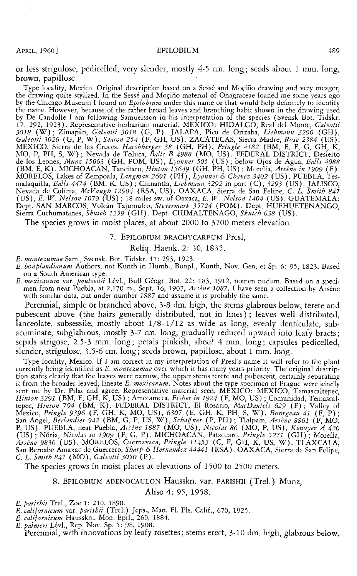or less strigulose, pedicelled, very slender, mostly 4-5 em. long; seeds about 1 mm. long, brown, papillose.

Type locality, Mexico. Original description based on a Sessé and Moçiño drawing and very meager, the drawing quite stylized. In the Sessé and Moçiño material of Onagraceae loaned me some years ago by the Chicago Museum I found no *Epilobium* under this name or that would help definitely to identify the name. However, because of the rather broad leaves and branching habit shown in the drawing used by De Candolle I am following Samuelsson in his interpretation of the species (Svensk Bot. Tidskr. 17: 292, 1923). Representative herbarium material, MEXICO: HIDALGO, Real del Monte, Galeotti 17: 292, 1923). Representative herbarium material, MEXICO: HIDALGO, Real del Monte, *Galeotti 3018* (W); Zimapan, *Galeotti 3018* (G, P). JALAPA, Pico de Orizaba, *Liebmann 3290* (GH), *Galeotti 3026* (G, P, W), *Seaton 254* (F, GH, US). ZACATECAS, Sierra Madre, *Rose 2384* (US). MEXICO, Sierra de las Cruces, *Harsbberger 38* (GH, PH), *Pringle 4182* (BM, E, F, G, GH, K, MO, P, PH, S, W); Nevada de Toluca, *Balls B 4988* (MO, US). FEDERAL DISTRICT, Desierto de los Leones, *Munz 15063* (GH, POM, US) MORELOS, Lakes of Zempoala, *Langman 2691* (PH), *Lyonnet* & *Chavez 3402* (US). PUEBLA, Tesmalaquilla, *Balls 4474* (BM, K, US); Chinantla, *Liebmann 3292* in part (C), *3293* (US). JALISCO, Nevada de Colima, *McVaugh 12904* (RSA, US). OAXACA, Sierra de San Felipe, C. L. *Smith 847*  (US), *E. W. Nelson 1079* (US); 18 miles sw. of Oaxaca, *E. W. Nelson 1404* (US). GUATEMALA: Dept. SAN MARCOS, Volcan Tajumulco, *Steyermark 35724* (POM). Dept. HUEHUETENANGO, Sierra Cuchumatanes, *Skutch 1259* (GH). Dept. CHIMALTENAGO, *Skutch 638* (US).

The species grows in moist places, at about 2000 to 3700 meters elevation.

#### 7. EPILOBIUM BRACHYCARPUM Presl,

#### Reliq. Haenk. 2: 30, 1835.

- *E. montezumae* Sam., Svensk. Bot. Tidskr. 17: 293, 1923.
- *E. bonplandianum* Authors, not Kunth in Humb., Bonpl., Kunth, Nov. Gen. et Sp. 6: 95, 1823. Based on a South American type.
- *E. mexicanum* var. *paulsenii* Lev!., Bull Geogr. Bot. 22: 183, 1912, nomen nudum. Based on a specimen from near Puebla, at 2,170 m., Sept. 16, 1907, *Arsène 1087.* I have seen a collection by Arsène<br>with similar data, but under number 1887 and assume it is probably the same.

Perennial, simple or branched above, 3-8 dm. high, the stems glabrous below, terete and pubescent above (the hairs generally distributed, not in lines); leaves well distributed, lanceolate, subsessile, mostly about 1/8-1/12 as wide as long, evenly denticulate, subacuminate, subglabrous, mostly 3-7 em. long, gradually reduced upward into leafy bracts; sepals strigose, 2.5-3 mm. long; petals pinkish, about 4 mm. long; capsules pedicelled, slender, strigulose, 3.5-6 em. long; seeds brown, papillose, about 1 mm. long.

Type locality, Mexico. If I am correct in my interpretation of Presl's name it will refer to the plant currently being identified as *E. montezumae* over which it has many years priority. The original description states clearly that the leaves were narrow, the upper stems terete and pubescent, certainly separating it from the broader-leaved, lineate *E. mexicanum.* Notes about the type specimen at Prague were kindly sent me by Dr. Pilat and agree. Representative material seen, MEXICO: MEXICO, Temascaltepec, *Hinton 3291* (BM, F, GH, K, US); Amecameca, *Fisher in 1924* (F, MO, US); Comunidad, Temascaltepec, *Hinton 794* (BM, K). FEDERAL DISTRICT, El Rosario, *Mac Daniels 629* (F); Valley of Mexico, *Pringle 9396* (F, GH, K, MO, US), *6307* (E, GH, K, PH, S, W), *Bourgeau 41* (F, P); San Angel, *Berlandier 942 (BM, G, P, US, W), Schaffner (P, PH)* ; Tlalpam, *Arsène 8861 (F, MO,*<br>P, US). PUEBLA, near Puebla, *Arsène 1887 (MO, US), Nicolas 86 (MO, P, US), Kenoyer A 420*<br>(US) ; Nória, *Nicolas in 1909 (F Arsene 9836* (US). MORELOS, Cuernavaca, *Pringle 11453* (C, F, GH, K, US, W). TLAXCALA, San Bernabe Amaxac de Guerrero, *Sharp* & *Hernandez 44441* (RSA). OAXACA, Sierra de San Felipe, C. L. *Smith 847* (MO), *Galeotti 3050* (P).

The species grows in moist places at elevations of 1500 to 2500 meters.

8. EPILOBIUM ADENOCAULON Hausskn. var. PARISHII (Trel.) Munz,

Aliso 4: 95, 1958.

*E. parishii* Trel., Zoe 1: 210, 1890.

*E. californicum* var. *parishii* (Trel.) Jeps., Man. Fl. Pis. Calif., 670, 1925.

*E. californicum* Hausskn., Mon. Epil., 260, 1884.

*E. palmeri Lévl., Rep. Nov. Sp. 5: 98, 1908.* 

Perennial, with innovations by leafy rosettes; stems erect, 3-10 dm. high, glabrous below,